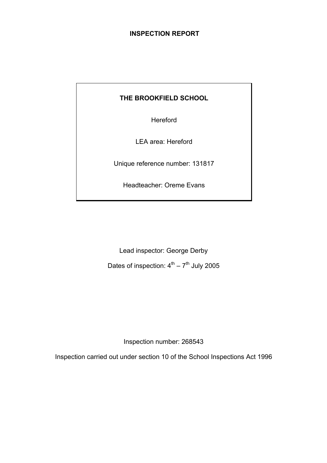## **INSPECTION REPORT**

## **THE BROOKFIELD SCHOOL**

Hereford

LEA area: Hereford

Unique reference number: 131817

Headteacher: Oreme Evans

Lead inspector: George Derby

Dates of inspection:  $4^{th} - 7^{th}$  July 2005

Inspection number: 268543

Inspection carried out under section 10 of the School Inspections Act 1996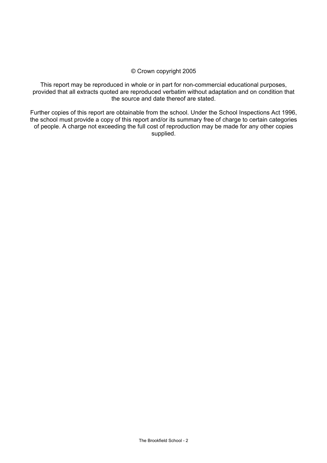#### © Crown copyright 2005

This report may be reproduced in whole or in part for non-commercial educational purposes, provided that all extracts quoted are reproduced verbatim without adaptation and on condition that the source and date thereof are stated.

Further copies of this report are obtainable from the school. Under the School Inspections Act 1996, the school must provide a copy of this report and/or its summary free of charge to certain categories of people. A charge not exceeding the full cost of reproduction may be made for any other copies supplied.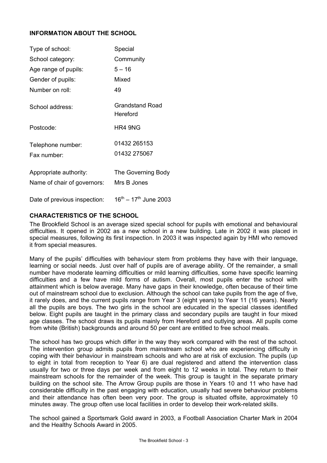## **INFORMATION ABOUT THE SCHOOL**

| Type of school:                                       | Special                            |
|-------------------------------------------------------|------------------------------------|
| School category:                                      | Community                          |
| Age range of pupils:                                  | $5 - 16$                           |
| Gender of pupils:                                     | Mixed                              |
| Number on roll:                                       | 49                                 |
| School address:                                       | <b>Grandstand Road</b><br>Hereford |
| Postcode:                                             | HR4 9NG                            |
| Telephone number:<br>Fax number:                      | 01432 265153<br>01432 275067       |
| Appropriate authority:<br>Name of chair of governors: | The Governing Body<br>Mrs B Jones  |
| Date of previous inspection:                          | $16^{th} - 17^{th}$ June 2003      |

## **CHARACTERISTICS OF THE SCHOOL**

The Brookfield School is an average sized special school for pupils with emotional and behavioural difficulties. It opened in 2002 as a new school in a new building. Late in 2002 it was placed in special measures, following its first inspection. In 2003 it was inspected again by HMI who removed it from special measures.

Many of the pupils' difficulties with behaviour stem from problems they have with their language, learning or social needs. Just over half of pupils are of average ability. Of the remainder, a small number have moderate learning difficulties or mild learning difficulties, some have specific learning difficulties and a few have mild forms of autism. Overall, most pupils enter the school with attainment which is below average. Many have gaps in their knowledge, often because of their time out of mainstream school due to exclusion. Although the school can take pupils from the age of five, it rarely does, and the current pupils range from Year 3 (eight years) to Year 11 (16 years). Nearly all the pupils are boys. The two girls in the school are educated in the special classes identified below. Eight pupils are taught in the primary class and secondary pupils are taught in four mixed age classes. The school draws its pupils mainly from Hereford and outlying areas. All pupils come from white (British) backgrounds and around 50 per cent are entitled to free school meals.

The school has two groups which differ in the way they work compared with the rest of the school. The intervention group admits pupils from mainstream school who are experiencing difficulty in coping with their behaviour in mainstream schools and who are at risk of exclusion. The pupils (up to eight in total from reception to Year 6) are dual registered and attend the intervention class usually for two or three days per week and from eight to 12 weeks in total. They return to their mainstream schools for the remainder of the week. This group is taught in the separate primary building on the school site. The Arrow Group pupils are those in Years 10 and 11 who have had considerable difficulty in the past engaging with education, usually had severe behaviour problems and their attendance has often been very poor. The group is situated offsite, approximately 10 minutes away. The group often use local facilities in order to develop their work-related skills.

The school gained a Sportsmark Gold award in 2003, a Football Association Charter Mark in 2004 and the Healthy Schools Award in 2005.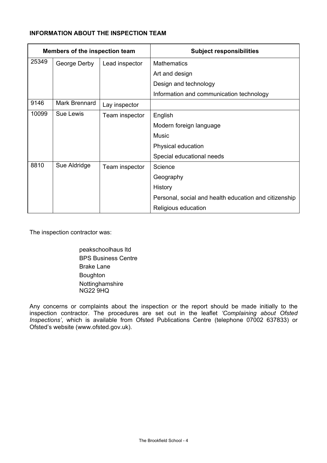## **INFORMATION ABOUT THE INSPECTION TEAM**

| Members of the inspection team |               |                | <b>Subject responsibilities</b>                       |
|--------------------------------|---------------|----------------|-------------------------------------------------------|
| 25349                          | George Derby  | Lead inspector | <b>Mathematics</b>                                    |
|                                |               |                | Art and design                                        |
|                                |               |                | Design and technology                                 |
|                                |               |                | Information and communication technology              |
| 9146                           | Mark Brennard | Lay inspector  |                                                       |
| 10099                          | Sue Lewis     | Team inspector | English                                               |
|                                |               |                | Modern foreign language                               |
|                                |               |                | Music                                                 |
|                                |               |                | Physical education                                    |
|                                |               |                | Special educational needs                             |
| 8810                           | Sue Aldridge  | Team inspector | Science                                               |
|                                |               |                | Geography                                             |
|                                |               |                | History                                               |
|                                |               |                | Personal, social and health education and citizenship |
|                                |               |                | Religious education                                   |

The inspection contractor was:

 peakschoolhaus ltd BPS Business Centre Brake Lane Boughton Nottinghamshire NG22 9HQ

Any concerns or complaints about the inspection or the report should be made initially to the inspection contractor. The procedures are set out in the leaflet *'Complaining about Ofsted Inspections'*, which is available from Ofsted Publications Centre (telephone 07002 637833) or Ofsted's website (www.ofsted.gov.uk).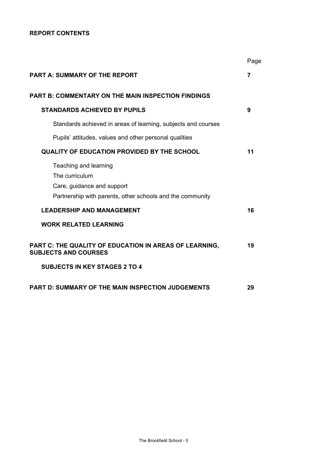## **REPORT CONTENTS**

|                                                                                               | Page |
|-----------------------------------------------------------------------------------------------|------|
| <b>PART A: SUMMARY OF THE REPORT</b>                                                          | 7    |
| <b>PART B: COMMENTARY ON THE MAIN INSPECTION FINDINGS</b>                                     |      |
| <b>STANDARDS ACHIEVED BY PUPILS</b>                                                           | 9    |
| Standards achieved in areas of learning, subjects and courses                                 |      |
| Pupils' attitudes, values and other personal qualities                                        |      |
| QUALITY OF EDUCATION PROVIDED BY THE SCHOOL                                                   | 11   |
| Teaching and learning<br>The curriculum<br>Care, guidance and support                         |      |
| Partnership with parents, other schools and the community<br><b>LEADERSHIP AND MANAGEMENT</b> | 16   |
| <b>WORK RELATED LEARNING</b>                                                                  |      |
| PART C: THE QUALITY OF EDUCATION IN AREAS OF LEARNING,<br><b>SUBJECTS AND COURSES</b>         | 19   |
| <b>SUBJECTS IN KEY STAGES 2 TO 4</b>                                                          |      |
| PART D: SUMMARY OF THE MAIN INSPECTION JUDGEMENTS                                             | 29   |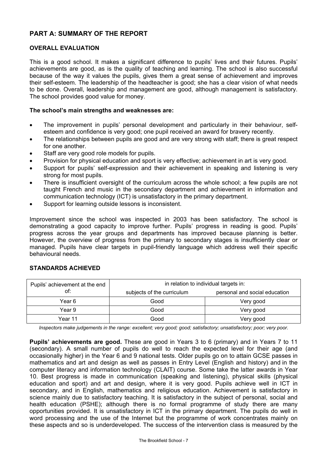## **PART A: SUMMARY OF THE REPORT**

#### **OVERALL EVALUATION**

This is a good school. It makes a significant difference to pupils' lives and their futures. Pupils' achievements are good, as is the quality of teaching and learning. The school is also successful because of the way it values the pupils, gives them a great sense of achievement and improves their self-esteem. The leadership of the headteacher is good; she has a clear vision of what needs to be done. Overall, leadership and management are good, although management is satisfactory. The school provides good value for money.

## **The school's main strengths and weaknesses are:**

- The improvement in pupils' personal development and particularly in their behaviour, selfesteem and confidence is very good; one pupil received an award for bravery recently.
- The relationships between pupils are good and are very strong with staff; there is great respect for one another.
- Staff are very good role models for pupils.
- Provision for physical education and sport is very effective; achievement in art is very good.
- Support for pupils' self-expression and their achievement in speaking and listening is very strong for most pupils.
- There is insufficient oversight of the curriculum across the whole school; a few pupils are not taught French and music in the secondary department and achievement in information and communication technology (ICT) is unsatisfactory in the primary department.
- Support for learning outside lessons is inconsistent.

Improvement since the school was inspected in 2003 has been satisfactory. The school is demonstrating a good capacity to improve further. Pupils' progress in reading is good. Pupils' progress across the year groups and departments has improved because planning is better. However, the overview of progress from the primary to secondary stages is insufficiently clear or managed. Pupils have clear targets in pupil-friendly language which address well their specific behavioural needs.

## **STANDARDS ACHIEVED**

| Pupils' achievement at the end | in relation to individual targets in: |                               |  |  |
|--------------------------------|---------------------------------------|-------------------------------|--|--|
| of:                            | subjects of the curriculum            | personal and social education |  |  |
| Year 6                         | Good                                  | Very good                     |  |  |
| Year 9                         | Good                                  | Very good                     |  |  |
| Year 11                        | Good                                  | Very good                     |  |  |

*Inspectors make judgements in the range: excellent; very good; good; satisfactory; unsatisfactory; poor; very poor.* 

**Pupils' achievements are good.** These are good in Years 3 to 6 (primary) and in Years 7 to 11 (secondary). A small number of pupils do well to reach the expected level for their age (and occasionally higher) in the Year 6 and 9 national tests. Older pupils go on to attain GCSE passes in mathematics and art and design as well as passes in Entry Level (English and history) and in the computer literacy and information technology (CLAIT) course. Some take the latter awards in Year 10. Best progress is made in communication (speaking and listening), physical skills (physical education and sport) and art and design, where it is very good. Pupils achieve well in ICT in secondary, and in English, mathematics and religious education. Achievement is satisfactory in science mainly due to satisfactory teaching. It is satisfactory in the subject of personal, social and health education (PSHE); although there is no formal programme of study there are many opportunities provided. It is unsatisfactory in ICT in the primary department. The pupils do well in word processing and the use of the Internet but the programme of work concentrates mainly on these aspects and so is underdeveloped. The success of the intervention class is measured by the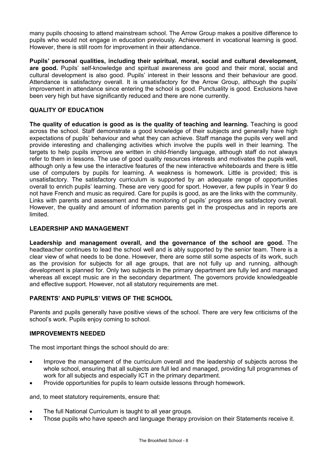many pupils choosing to attend mainstream school. The Arrow Group makes a positive difference to pupils who would not engage in education previously. Achievement in vocational learning is good. However, there is still room for improvement in their attendance.

**Pupils' personal qualities, including their spiritual, moral, social and cultural development, are good.** Pupils' self-knowledge and spiritual awareness are good and their moral, social and cultural development is also good. Pupils' interest in their lessons and their behaviour are good. Attendance is satisfactory overall. It is unsatisfactory for the Arrow Group, although the pupils' improvement in attendance since entering the school is good. Punctuality is good. Exclusions have been very high but have significantly reduced and there are none currently.

## **QUALITY OF EDUCATION**

**The quality of education is good as is the quality of teaching and learning.** Teaching is good across the school. Staff demonstrate a good knowledge of their subjects and generally have high expectations of pupils' behaviour and what they can achieve. Staff manage the pupils very well and provide interesting and challenging activities which involve the pupils well in their learning. The targets to help pupils improve are written in child-friendly language, although staff do not always refer to them in lessons. The use of good quality resources interests and motivates the pupils well, although only a few use the interactive features of the new interactive whiteboards and there is little use of computers by pupils for learning. A weakness is homework. Little is provided; this is unsatisfactory. The satisfactory curriculum is supported by an adequate range of opportunities overall to enrich pupils' learning. These are very good for sport. However, a few pupils in Year 9 do not have French and music as required. Care for pupils is good, as are the links with the community. Links with parents and assessment and the monitoring of pupils' progress are satisfactory overall. However, the quality and amount of information parents get in the prospectus and in reports are limited.

#### **LEADERSHIP AND MANAGEMENT**

**Leadership and management overall, and the governance of the school are good.** The headteacher continues to lead the school well and is ably supported by the senior team. There is a clear view of what needs to be done. However, there are some still some aspects of its work, such as the provision for subjects for all age groups, that are not fully up and running, although development is planned for. Only two subjects in the primary department are fully led and managed whereas all except music are in the secondary department. The governors provide knowledgeable and effective support. However, not all statutory requirements are met.

## **PARENTS' AND PUPILS' VIEWS OF THE SCHOOL**

Parents and pupils generally have positive views of the school. There are very few criticisms of the school's work. Pupils enjoy coming to school.

## **IMPROVEMENTS NEEDED**

The most important things the school should do are:

- Improve the management of the curriculum overall and the leadership of subjects across the whole school, ensuring that all subjects are full led and managed, providing full programmes of work for all subjects and especially ICT in the primary department.
- Provide opportunities for pupils to learn outside lessons through homework.

and, to meet statutory requirements, ensure that:

- The full National Curriculum is taught to all year groups.
- Those pupils who have speech and language therapy provision on their Statements receive it.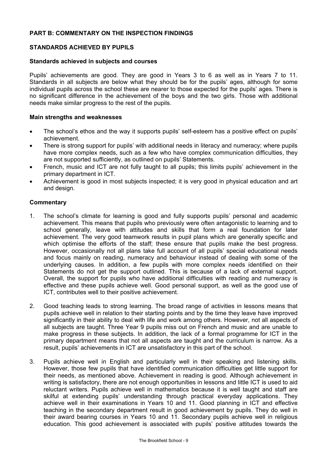## **PART B: COMMENTARY ON THE INSPECTION FINDINGS**

#### **STANDARDS ACHIEVED BY PUPILS**

#### **Standards achieved in subjects and courses**

Pupils' achievements are good. They are good in Years 3 to 6 as well as in Years 7 to 11. Standards in all subjects are below what they should be for the pupils' ages, although for some individual pupils across the school these are nearer to those expected for the pupils' ages. There is no significant difference in the achievement of the boys and the two girls. Those with additional needs make similar progress to the rest of the pupils.

#### **Main strengths and weaknesses**

- The school's ethos and the way it supports pupils' self-esteem has a positive effect on pupils' achievement.
- There is strong support for pupils' with additional needs in literacy and numeracy; where pupils have more complex needs, such as a few who have complex communication difficulties, they are not supported sufficiently, as outlined on pupils' Statements.
- French, music and ICT are not fully taught to all pupils; this limits pupils' achievement in the primary department in ICT.
- Achievement is good in most subjects inspected; it is very good in physical education and art and design.

- 1. The school's climate for learning is good and fully supports pupils' personal and academic achievement. This means that pupils who previously were often antagonistic to learning and to school generally, leave with attitudes and skills that form a real foundation for later achievement. The very good teamwork results in pupil plans which are generally specific and which optimise the efforts of the staff; these ensure that pupils make the best progress. However, occasionally not all plans take full account of all pupils' special educational needs and focus mainly on reading, numeracy and behaviour instead of dealing with some of the underlying causes. In addition, a few pupils with more complex needs identified on their Statements do not get the support outlined. This is because of a lack of external support. Overall, the support for pupils who have additional difficulties with reading and numeracy is effective and these pupils achieve well. Good personal support, as well as the good use of ICT, contributes well to their positive achievement.
- 2. Good teaching leads to strong learning. The broad range of activities in lessons means that pupils achieve well in relation to their starting points and by the time they leave have improved significantly in their ability to deal with life and work among others. However, not all aspects of all subjects are taught. Three Year 9 pupils miss out on French and music and are unable to make progress in these subjects. In addition, the lack of a formal programme for ICT in the primary department means that not all aspects are taught and the curriculum is narrow. As a result, pupils' achievements in ICT are unsatisfactory in this part of the school.
- 3. Pupils achieve well in English and particularly well in their speaking and listening skills. However, those few pupils that have identified communication difficulties get little support for their needs, as mentioned above. Achievement in reading is good. Although achievement in writing is satisfactory, there are not enough opportunities in lessons and little ICT is used to aid reluctant writers. Pupils achieve well in mathematics because it is well taught and staff are skilful at extending pupils' understanding through practical everyday applications. They achieve well in their examinations in Years 10 and 11. Good planning in ICT and effective teaching in the secondary department result in good achievement by pupils. They do well in their award bearing courses in Years 10 and 11. Secondary pupils achieve well in religious education. This good achievement is associated with pupils' positive attitudes towards the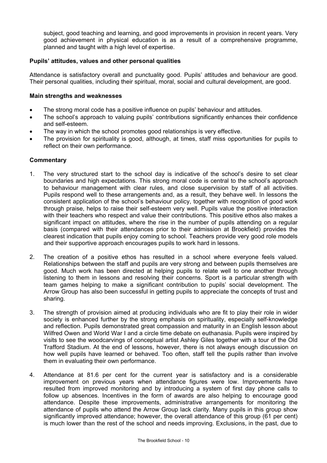subject, good teaching and learning, and good improvements in provision in recent years. Very good achievement in physical education is as a result of a comprehensive programme, planned and taught with a high level of expertise.

## **Pupils' attitudes, values and other personal qualities**

Attendance is satisfactory overall and punctuality good. Pupils' attitudes and behaviour are good. Their personal qualities, including their spiritual, moral, social and cultural development, are good.

#### **Main strengths and weaknesses**

- The strong moral code has a positive influence on pupils' behaviour and attitudes.
- The school's approach to valuing pupils' contributions significantly enhances their confidence and self-esteem.
- The way in which the school promotes good relationships is very effective.
- The provision for spirituality is good, although, at times, staff miss opportunities for pupils to reflect on their own performance.

- 1. The very structured start to the school day is indicative of the school's desire to set clear boundaries and high expectations. This strong moral code is central to the school's approach to behaviour management with clear rules, and close supervision by staff of all activities. Pupils respond well to these arrangements and, as a result, they behave well. In lessons the consistent application of the school's behaviour policy, together with recognition of good work through praise, helps to raise their self-esteem very well. Pupils value the positive interaction with their teachers who respect and value their contributions. This positive ethos also makes a significant impact on attitudes, where the rise in the number of pupils attending on a regular basis (compared with their attendances prior to their admission at Brookfield) provides the clearest indication that pupils enjoy coming to school. Teachers provide very good role models and their supportive approach encourages pupils to work hard in lessons.
- 2. The creation of a positive ethos has resulted in a school where everyone feels valued. Relationships between the staff and pupils are very strong and between pupils themselves are good. Much work has been directed at helping pupils to relate well to one another through listening to them in lessons and resolving their concerns. Sport is a particular strength with team games helping to make a significant contribution to pupils' social development. The Arrow Group has also been successful in getting pupils to appreciate the concepts of trust and sharing.
- 3. The strength of provision aimed at producing individuals who are fit to play their role in wider society is enhanced further by the strong emphasis on spirituality, especially self-knowledge and reflection. Pupils demonstrated great compassion and maturity in an English lesson about Wilfred Owen and World War I and a circle time debate on euthanasia. Pupils were inspired by visits to see the woodcarvings of conceptual artist Ashley Giles together with a tour of the Old Trafford Stadium. At the end of lessons, however, there is not always enough discussion on how well pupils have learned or behaved. Too often, staff tell the pupils rather than involve them in evaluating their own performance.
- 4. Attendance at 81.6 per cent for the current year is satisfactory and is a considerable improvement on previous years when attendance figures were low. Improvements have resulted from improved monitoring and by introducing a system of first day phone calls to follow up absences. Incentives in the form of awards are also helping to encourage good attendance. Despite these improvements, administrative arrangements for monitoring the attendance of pupils who attend the Arrow Group lack clarity. Many pupils in this group show significantly improved attendance; however, the overall attendance of this group (61 per cent) is much lower than the rest of the school and needs improving. Exclusions, in the past, due to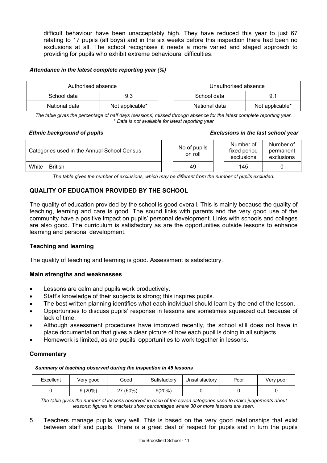difficult behaviour have been unacceptably high. They have reduced this year to just 67 relating to 17 pupils (all boys) and in the six weeks before this inspection there had been no exclusions at all. The school recognises it needs a more varied and staged approach to providing for pupils who exhibit extreme behavioural difficulties.

#### *Attendance in the latest complete reporting year (%)*

| Authorised absence |                 |  | Unauthorised absence |                 |
|--------------------|-----------------|--|----------------------|-----------------|
| School data<br>9.3 |                 |  | School data          | 9.1             |
| National data      | Not applicable* |  | National data        | Not applicable* |

*The table gives the percentage of half days (sessions) missed through absence for the latest complete reporting year.* \* *Data is not available for latest reporting year* 

#### *Ethnic background of pupils Exclusions in the last school year*

| Categories used in the Annual School Census | No of pupils<br>on roll | Number of<br>fixed period<br>exclusions | Number of<br>permanent<br>exclusions |  |
|---------------------------------------------|-------------------------|-----------------------------------------|--------------------------------------|--|
| White - British                             | 49                      | 145                                     |                                      |  |

*The table gives the number of exclusions, which may be different from the number of pupils excluded.*

## **QUALITY OF EDUCATION PROVIDED BY THE SCHOOL**

The quality of education provided by the school is good overall. This is mainly because the quality of teaching, learning and care is good. The sound links with parents and the very good use of the community have a positive impact on pupils' personal development. Links with schools and colleges are also good. The curriculum is satisfactory as are the opportunities outside lessons to enhance learning and personal development.

## **Teaching and learning**

The quality of teaching and learning is good. Assessment is satisfactory.

## **Main strengths and weaknesses**

- Lessons are calm and pupils work productively.
- Staff's knowledge of their subjects is strong; this inspires pupils.
- The best written planning identifies what each individual should learn by the end of the lesson.
- Opportunities to discuss pupils' response in lessons are sometimes squeezed out because of lack of time.
- Although assessment procedures have improved recently, the school still does not have in place documentation that gives a clear picture of how each pupil is doing in all subjects.
- Homework is limited, as are pupils' opportunities to work together in lessons.

## **Commentary**

*Summary of teaching observed during the inspection in 45 lessons*

| Excellent | Very good | Good     | Satisfactory | Unsatisfactory | Poor | Very poor |
|-----------|-----------|----------|--------------|----------------|------|-----------|
|           | 9(20%)    | ?7 (60%) | 9(20%)       |                |      |           |

*The table gives the number of lessons observed in each of the seven categories used to make judgements about lessons; figures in brackets show percentages where 30 or more lessons are seen.* 

5. Teachers manage pupils very well. This is based on the very good relationships that exist between staff and pupils. There is a great deal of respect for pupils and in turn the pupils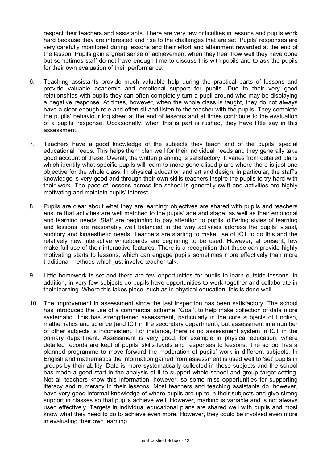respect their teachers and assistants. There are very few difficulties in lessons and pupils work hard because they are interested and rise to the challenges that are set. Pupils' responses are very carefully monitored during lessons and their effort and attainment rewarded at the end of the lesson. Pupils gain a great sense of achievement when they hear how well they have done but sometimes staff do not have enough time to discuss this with pupils and to ask the pupils for their own evaluation of their performance.

- 6. Teaching assistants provide much valuable help during the practical parts of lessons and provide valuable academic and emotional support for pupils. Due to their very good relationships with pupils they can often completely turn a pupil around who may be displaying a negative response. At times, however, when the whole class is taught, they do not always have a clear enough role and often sit and listen to the teacher with the pupils. They complete the pupils' behaviour log sheet at the end of lessons and at times contribute to the evaluation of a pupils' response. Occasionally, when this is part is rushed, they have little say in this assessment.
- 7. Teachers have a good knowledge of the subjects they teach and of the pupils' special educational needs. This helps them plan well for their individual needs and they generally take good account of these. Overall, the written planning is satisfactory. It varies from detailed plans which identify what specific pupils will learn to more generalised plans where there is just one objective for the whole class. In physical education and art and design, in particular, the staff's knowledge is very good and through their own skills teachers inspire the pupils to try hard with their work. The pace of lessons across the school is generally swift and activities are highly motivating and maintain pupils' interest.
- 8. Pupils are clear about what they are learning; objectives are shared with pupils and teachers ensure that activities are well matched to the pupils' age and stage, as well as their emotional and learning needs. Staff are beginning to pay attention to pupils' differing styles of learning and lessons are reasonably well balanced in the way activities address the pupils' visual, auditory and kinaesthetic needs. Teachers are starting to make use of ICT to do this and the relatively new interactive whiteboards are beginning to be used. However, at present, few make full use of their interactive features. There is a recognition that these can provide highly motivating starts to lessons, which can engage pupils sometimes more effectively than more traditional methods which just involve teacher talk.
- 9. Little homework is set and there are few opportunities for pupils to learn outside lessons. In addition, in very few subjects do pupils have opportunities to work together and collaborate in their learning. Where this takes place, such as in physical education, this is done well.
- 10. The improvement in assessment since the last inspection has been satisfactory. The school has introduced the use of a commercial scheme, 'Goal', to help make collection of data more systematic. This has strengthened assessment, particularly in the core subjects of English, mathematics and science (and ICT in the secondary department), but assessment in a number of other subjects is inconsistent. For instance, there is no assessment system in ICT in the primary department. Assessment is very good, for example in physical education, where detailed records are kept of pupils' skills levels and responses to lessons. The school has a planned programme to move forward the moderation of pupils' work in different subjects. In English and mathematics the information gained from assessment is used well to 'set' pupils in groups by their ability. Data is more systematically collected in these subjects and the school has made a good start in the analysis of it to support whole-school and group target setting. Not all teachers know this information, however, so some miss opportunities for supporting literacy and numeracy in their lessons. Most teachers and teaching assistants do, however, have very good informal knowledge of where pupils are up to in their subjects and give strong support in classes so that pupils achieve well. However, marking is variable and is not always used effectively. Targets in individual educational plans are shared well with pupils and most know what they need to do to achieve even more. However, they could be involved even more in evaluating their own learning.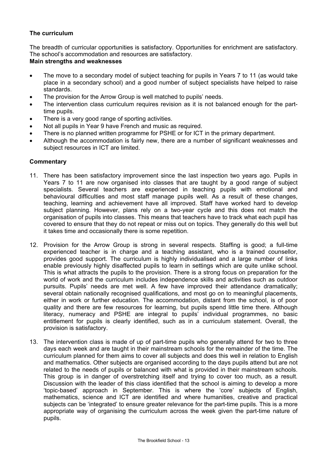## **The curriculum**

The breadth of curricular opportunities is satisfactory. Opportunities for enrichment are satisfactory. The school's accommodation and resources are satisfactory.

## **Main strengths and weaknesses**

- The move to a secondary model of subject teaching for pupils in Years 7 to 11 (as would take place in a secondary school) and a good number of subject specialists have helped to raise standards.
- The provision for the Arrow Group is well matched to pupils' needs.
- The intervention class curriculum requires revision as it is not balanced enough for the parttime pupils.
- There is a very good range of sporting activities.
- Not all pupils in Year 9 have French and music as required.
- There is no planned written programme for PSHE or for ICT in the primary department.
- Although the accommodation is fairly new, there are a number of significant weaknesses and subject resources in ICT are limited.

- 11. There has been satisfactory improvement since the last inspection two years ago. Pupils in Years 7 to 11 are now organised into classes that are taught by a good range of subject specialists. Several teachers are experienced in teaching pupils with emotional and behavioural difficulties and most staff manage pupils well. As a result of these changes, teaching, learning and achievement have all improved. Staff have worked hard to develop subject planning. However, plans rely on a two-year cycle and this does not match the organisation of pupils into classes. This means that teachers have to track what each pupil has covered to ensure that they do not repeat or miss out on topics. They generally do this well but it takes time and occasionally there is some repetition.
- 12. Provision for the Arrow Group is strong in several respects. Staffing is good; a full-time experienced teacher is in charge and a teaching assistant, who is a trained counsellor, provides good support. The curriculum is highly individualised and a large number of links enable previously highly disaffected pupils to learn in settings which are quite unlike school. This is what attracts the pupils to the provision. There is a strong focus on preparation for the world of work and the curriculum includes independence skills and activities such as outdoor pursuits. Pupils' needs are met well. A few have improved their attendance dramatically; several obtain nationally recognised qualifications, and most go on to meaningful placements, either in work or further education. The accommodation, distant from the school, is of poor quality and there are few resources for learning, but pupils spend little time there. Although literacy, numeracy and PSHE are integral to pupils' individual programmes, no basic entitlement for pupils is clearly identified, such as in a curriculum statement. Overall, the provision is satisfactory.
- 13. The intervention class is made of up of part-time pupils who generally attend for two to three days each week and are taught in their mainstream schools for the remainder of the time. The curriculum planned for them aims to cover all subjects and does this well in relation to English and mathematics. Other subjects are organised according to the days pupils attend but are not related to the needs of pupils or balanced with what is provided in their mainstream schools. This group is in danger of overstretching itself and trying to cover too much, as a result. Discussion with the leader of this class identified that the school is aiming to develop a more 'topic-based' approach in September. This is where the 'core' subjects of English, mathematics, science and ICT are identified and where humanities, creative and practical subjects can be 'integrated' to ensure greater relevance for the part-time pupils. This is a more appropriate way of organising the curriculum across the week given the part-time nature of pupils.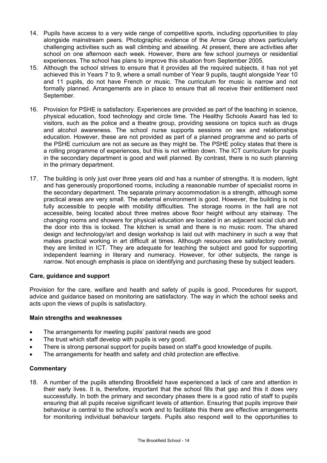- 14. Pupils have access to a very wide range of competitive sports, including opportunities to play alongside mainstream peers. Photographic evidence of the Arrow Group shows particularly challenging activities such as wall climbing and abseiling. At present, there are activities after school on one afternoon each week. However, there are few school journeys or residential experiences. The school has plans to improve this situation from September 2005.
- 15. Although the school strives to ensure that it provides all the required subjects, it has not yet achieved this in Years 7 to 9, where a small number of Year 9 pupils, taught alongside Year 10 and 11 pupils, do not have French or music. The curriculum for music is narrow and not formally planned. Arrangements are in place to ensure that all receive their entitlement next September.
- 16. Provision for PSHE is satisfactory. Experiences are provided as part of the teaching in science, physical education, food technology and circle time. The Healthy Schools Award has led to visitors, such as the police and a theatre group, providing sessions on topics such as drugs and alcohol awareness. The school nurse supports sessions on sex and relationships education. However, these are not provided as part of a planned programme and so parts of the PSHE curriculum are not as secure as they might be. The PSHE policy states that there is a rolling programme of experiences, but this is not written down. The ICT curriculum for pupils in the secondary department is good and well planned. By contrast, there is no such planning in the primary department.
- 17. The building is only just over three years old and has a number of strengths. It is modern, light and has generously proportioned rooms, including a reasonable number of specialist rooms in the secondary department. The separate primary accommodation is a strength, although some practical areas are very small. The external environment is good. However, the building is not fully accessible to people with mobility difficulties. The storage rooms in the hall are not accessible, being located about three metres above floor height without any stairway. The changing rooms and showers for physical education are located in an adjacent social club and the door into this is locked. The kitchen is small and there is no music room. The shared design and technology/art and design workshop is laid out with machinery in such a way that makes practical working in art difficult at times. Although resources are satisfactory overall, they are limited in ICT. They are adequate for teaching the subject and good for supporting independent learning in literary and numeracy. However, for other subjects, the range is narrow. Not enough emphasis is place on identifying and purchasing these by subject leaders.

## **Care, guidance and support**

Provision for the care, welfare and health and safety of pupils is good. Procedures for support, advice and guidance based on monitoring are satisfactory. The way in which the school seeks and acts upon the views of pupils is satisfactory.

## **Main strengths and weaknesses**

- The arrangements for meeting pupils' pastoral needs are good
- The trust which staff develop with pupils is very good.
- There is strong personal support for pupils based on staff's good knowledge of pupils.
- The arrangements for health and safety and child protection are effective.

#### **Commentary**

18. A number of the pupils attending Brookfield have experienced a lack of care and attention in their early lives. It is, therefore, important that the school fills that gap and this it does very successfully. In both the primary and secondary phases there is a good ratio of staff to pupils ensuring that all pupils receive significant levels of attention. Ensuring that pupils improve their behaviour is central to the school's work and to facilitate this there are effective arrangements for monitoring individual behaviour targets. Pupils also respond well to the opportunities to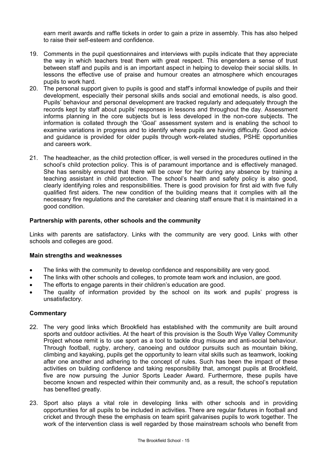earn merit awards and raffle tickets in order to gain a prize in assembly. This has also helped to raise their self-esteem and confidence.

- 19. Comments in the pupil questionnaires and interviews with pupils indicate that they appreciate the way in which teachers treat them with great respect. This engenders a sense of trust between staff and pupils and is an important aspect in helping to develop their social skills. In lessons the effective use of praise and humour creates an atmosphere which encourages pupils to work hard.
- 20. The personal support given to pupils is good and staff's informal knowledge of pupils and their development, especially their personal skills ands social and emotional needs, is also good. Pupils' behaviour and personal development are tracked regularly and adequately through the records kept by staff about pupils' responses in lessons and throughout the day. Assessment informs planning in the core subjects but is less developed in the non-core subjects. The information is collated through the 'Goal' assessment system and is enabling the school to examine variations in progress and to identify where pupils are having difficulty. Good advice and guidance is provided for older pupils through work-related studies, PSHE opportunities and careers work.
- 21. The headteacher, as the child protection officer, is well versed in the procedures outlined in the school's child protection policy. This is of paramount importance and is effectively managed. She has sensibly ensured that there will be cover for her during any absence by training a teaching assistant in child protection. The school's health and safety policy is also good, clearly identifying roles and responsibilities. There is good provision for first aid with five fully qualified first aiders. The new condition of the building means that it complies with all the necessary fire regulations and the caretaker and cleaning staff ensure that it is maintained in a good condition.

#### **Partnership with parents, other schools and the community**

Links with parents are satisfactory. Links with the community are very good. Links with other schools and colleges are good.

#### **Main strengths and weaknesses**

- The links with the community to develop confidence and responsibility are very good.
- The links with other schools and colleges, to promote team work and inclusion, are good.
- The efforts to engage parents in their children's education are good.
- The quality of information provided by the school on its work and pupils' progress is unsatisfactory.

- 22. The very good links which Brookfield has established with the community are built around sports and outdoor activities. At the heart of this provision is the South Wye Valley Community Project whose remit is to use sport as a tool to tackle drug misuse and anti-social behaviour. Through football, rugby, archery, canoeing and outdoor pursuits such as mountain biking, climbing and kayaking, pupils get the opportunity to learn vital skills such as teamwork, looking after one another and adhering to the concept of rules. Such has been the impact of these activities on building confidence and taking responsibility that, amongst pupils at Brookfield, five are now pursuing the Junior Sports Leader Award. Furthermore, these pupils have become known and respected within their community and, as a result, the school's reputation has benefited greatly.
- 23. Sport also plays a vital role in developing links with other schools and in providing opportunities for all pupils to be included in activities. There are regular fixtures in football and cricket and through these the emphasis on team spirit galvanises pupils to work together. The work of the intervention class is well regarded by those mainstream schools who benefit from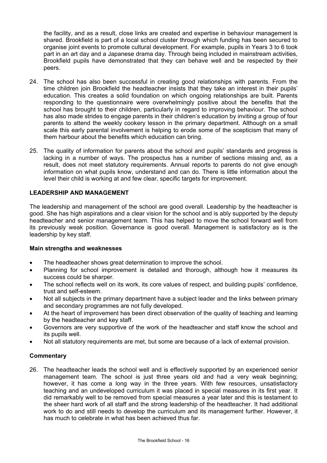the facility, and as a result, close links are created and expertise in behaviour management is shared. Brookfield is part of a local school cluster through which funding has been secured to organise joint events to promote cultural development. For example, pupils in Years 3 to 6 took part in an art day and a Japanese drama day. Through being included in mainstream activities, Brookfield pupils have demonstrated that they can behave well and be respected by their peers.

- 24. The school has also been successful in creating good relationships with parents. From the time children join Brookfield the headteacher insists that they take an interest in their pupils' education. This creates a solid foundation on which ongoing relationships are built. Parents responding to the questionnaire were overwhelmingly positive about the benefits that the school has brought to their children, particularly in regard to improving behaviour. The school has also made strides to engage parents in their children's education by inviting a group of four parents to attend the weekly cookery lesson in the primary department. Although on a small scale this early parental involvement is helping to erode some of the scepticism that many of them harbour about the benefits which education can bring.
- 25. The quality of information for parents about the school and pupils' standards and progress is lacking in a number of ways. The prospectus has a number of sections missing and, as a result, does not meet statutory requirements. Annual reports to parents do not give enough information on what pupils know, understand and can do. There is little information about the level their child is working at and few clear, specific targets for improvement.

## **LEADERSHIP AND MANAGEMENT**

The leadership and management of the school are good overall. Leadership by the headteacher is good. She has high aspirations and a clear vision for the school and is ably supported by the deputy headteacher and senior management team. This has helped to move the school forward well from its previously weak position. Governance is good overall. Management is satisfactory as is the leadership by key staff.

#### **Main strengths and weaknesses**

- The headteacher shows great determination to improve the school.
- Planning for school improvement is detailed and thorough, although how it measures its success could be sharper.
- The school reflects well on its work, its core values of respect, and building pupils' confidence, trust and self-esteem.
- Not all subjects in the primary department have a subject leader and the links between primary and secondary programmes are not fully developed.
- At the heart of improvement has been direct observation of the quality of teaching and learning by the headteacher and key staff.
- Governors are very supportive of the work of the headteacher and staff know the school and its pupils well.
- Not all statutory requirements are met, but some are because of a lack of external provision.

## **Commentary**

26. The headteacher leads the school well and is effectively supported by an experienced senior management team. The school is just three years old and had a very weak beginning; however, it has come a long way in the three years. With few resources, unsatisfactory teaching and an undeveloped curriculum it was placed in special measures in its first year. It did remarkably well to be removed from special measures a year later and this is testament to the sheer hard work of all staff and the strong leadership of the headteacher. It had additional work to do and still needs to develop the curriculum and its management further. However, it has much to celebrate in what has been achieved thus far.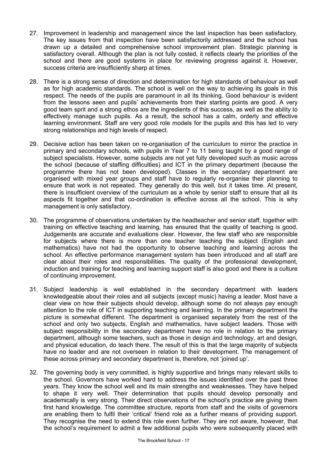- 27. Improvement in leadership and management since the last inspection has been satisfactory. The key issues from that inspection have been satisfactorily addressed and the school has drawn up a detailed and comprehensive school improvement plan. Strategic planning is satisfactory overall. Although the plan is not fully costed, it reflects clearly the priorities of the school and there are good systems in place for reviewing progress against it. However, success criteria are insufficiently sharp at times.
- 28. There is a strong sense of direction and determination for high standards of behaviour as well as for high academic standards. The school is well on the way to achieving its goals in this respect. The needs of the pupils are paramount in all its thinking. Good behaviour is evident from the lessons seen and pupils' achievements from their starting points are good. A very good team sprit and a strong ethos are the ingredients of this success, as well as the ability to effectively manage such pupils. As a result, the school has a calm, orderly and effective learning environment. Staff are very good role models for the pupils and this has led to very strong relationships and high levels of respect.
- 29. Decisive action has been taken on re-organisation of the curriculum to mirror the practice in primary and secondary schools, with pupils in Year 7 to 11 being taught by a good range of subject specialists. However, some subjects are not yet fully developed such as music across the school (because of staffing difficulties) and ICT in the primary department (because the programme there has not been developed). Classes in the secondary department are organised with mixed year groups and staff have to regularly re-organise their planning to ensure that work is not repeated. They generally do this well, but it takes time. At present, there is insufficient overview of the curriculum as a whole by senior staff to ensure that all its aspects fit together and that co-ordination is effective across all the school. This is why management is only satisfactory.
- 30. The programme of observations undertaken by the headteacher and senior staff, together with training on effective teaching and learning, has ensured that the quality of teaching is good. Judgements are accurate and evaluations clear. However, the few staff who are responsible for subjects where there is more than one teacher teaching the subject (English and mathematics) have not had the opportunity to observe teaching and learning across the school. An effective performance management system has been introduced and all staff are clear about their roles and responsibilities. The quality of the professional development, induction and training for teaching and learning support staff is also good and there is a culture of continuing improvement.
- 31. Subject leadership is well established in the secondary department with leaders knowledgeable about their roles and all subjects (except music) having a leader. Most have a clear view on how their subjects should develop, although some do not always pay enough attention to the role of ICT in supporting teaching and learning. In the primary department the picture is somewhat different. The department is organised separately from the rest of the school and only two subjects, English and mathematics, have subject leaders. Those with subject responsibility in the secondary department have no role in relation to the primary department, although some teachers, such as those in design and technology, art and design, and physical education, do teach there. The result of this is that the large majority of subjects have no leader and are not overseen in relation to their development. The management of these across primary and secondary department is, therefore, not 'joined up'.
- 32. The governing body is very committed, is highly supportive and brings many relevant skills to the school. Governors have worked hard to address the issues identified over the past three years. They know the school well and its main strengths and weaknesses. They have helped to shape it very well. Their determination that pupils should develop personally and academically is very strong. Their direct observations of the school's practice are giving them first hand knowledge. The committee structure, reports from staff and the visits of governors are enabling them to fulfil their 'critical' friend role as a further means of providing support. They recognise the need to extend this role even further. They are not aware, however, that the school's requirement to admit a few additional pupils who were subsequently placed with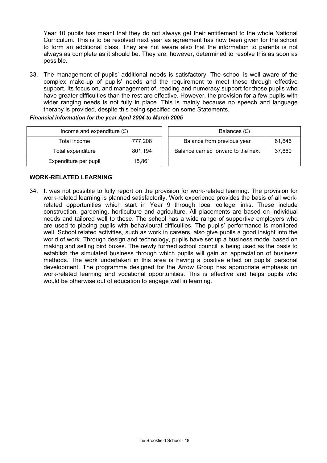Year 10 pupils has meant that they do not always get their entitlement to the whole National Curriculum. This is to be resolved next year as agreement has now been given for the school to form an additional class. They are not aware also that the information to parents is not always as complete as it should be. They are, however, determined to resolve this as soon as possible.

33. The management of pupils' additional needs is satisfactory. The school is well aware of the complex make-up of pupils' needs and the requirement to meet these through effective support. Its focus on, and management of, reading and numeracy support for those pupils who have greater difficulties than the rest are effective. However, the provision for a few pupils with wider ranging needs is not fully in place. This is mainly because no speech and language therapy is provided, despite this being specified on some Statements.

#### *Financial information for the year April 2004 to March 2005*

| Income and expenditure $(E)$ |         | Balances (£)                                  |  |  |
|------------------------------|---------|-----------------------------------------------|--|--|
| Total income                 | 777,208 | Balance from previous year<br>61.646          |  |  |
| Total expenditure            | 801,194 | Balance carried forward to the next<br>37.660 |  |  |
| Expenditure per pupil        | 15,861  |                                               |  |  |

## **WORK-RELATED LEARNING**

34. It was not possible to fully report on the provision for work-related learning. The provision for work-related learning is planned satisfactorily. Work experience provides the basis of all workrelated opportunities which start in Year 9 through local college links. These include construction, gardening, horticulture and agriculture. All placements are based on individual needs and tailored well to these. The school has a wide range of supportive employers who are used to placing pupils with behavioural difficulties. The pupils' performance is monitored well. School related activities, such as work in careers, also give pupils a good insight into the world of work. Through design and technology, pupils have set up a business model based on making and selling bird boxes. The newly formed school council is being used as the basis to establish the simulated business through which pupils will gain an appreciation of business methods. The work undertaken in this area is having a positive effect on pupils' personal development. The programme designed for the Arrow Group has appropriate emphasis on work-related learning and vocational opportunities. This is effective and helps pupils who would be otherwise out of education to engage well in learning.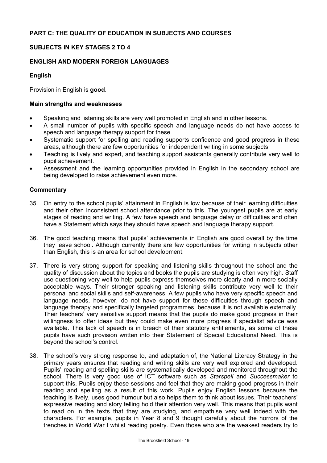## **SUBJECTS IN KEY STAGES 2 TO 4**

## **ENGLISH AND MODERN FOREIGN LANGUAGES**

## **English**

Provision in English is **good**.

## **Main strengths and weaknesses**

- Speaking and listening skills are very well promoted in English and in other lessons.
- A small number of pupils with specific speech and language needs do not have access to speech and language therapy support for these.
- Systematic support for spelling and reading supports confidence and good progress in these areas, although there are few opportunities for independent writing in some subjects.
- Teaching is lively and expert, and teaching support assistants generally contribute very well to pupil achievement.
- Assessment and the learning opportunities provided in English in the secondary school are being developed to raise achievement even more.

- 35. On entry to the school pupils' attainment in English is low because of their learning difficulties and their often inconsistent school attendance prior to this. The youngest pupils are at early stages of reading and writing. A few have speech and language delay or difficulties and often have a Statement which says they should have speech and language therapy support.
- 36. The good teaching means that pupils' achievements in English are good overall by the time they leave school. Although currently there are few opportunities for writing in subjects other than English, this is an area for school development.
- 37. There is very strong support for speaking and listening skills throughout the school and the quality of discussion about the topics and books the pupils are studying is often very high. Staff use questioning very well to help pupils express themselves more clearly and in more socially acceptable ways. Their stronger speaking and listening skills contribute very well to their personal and social skills and self-awareness. A few pupils who have very specific speech and language needs, however, do not have support for these difficulties through speech and language therapy and specifically targeted programmes, because it is not available externally. Their teachers' very sensitive support means that the pupils do make good progress in their willingness to offer ideas but they could make even more progress if specialist advice was available. This lack of speech is in breach of their statutory entitlements, as some of these pupils have such provision written into their Statement of Special Educational Need. This is beyond the school's control.
- 38. The school's very strong response to, and adaptation of, the National Literacy Strategy in the primary years ensures that reading and writing skills are very well explored and developed. Pupils' reading and spelling skills are systematically developed and monitored throughout the school. There is very good use of ICT software such as *Starspell* and *Successmaker* to support this. Pupils enjoy these sessions and feel that they are making good progress in their reading and spelling as a result of this work. Pupils enjoy English lessons because the teaching is lively, uses good humour but also helps them to think about issues. Their teachers' expressive reading and story telling hold their attention very well. This means that pupils want to read on in the texts that they are studying, and empathise very well indeed with the characters. For example, pupils in Year 8 and 9 thought carefully about the horrors of the trenches in World War I whilst reading poetry. Even those who are the weakest readers try to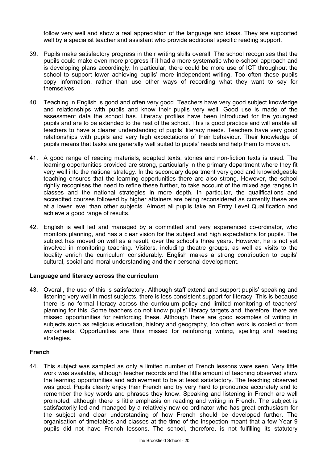follow very well and show a real appreciation of the language and ideas. They are supported well by a specialist teacher and assistant who provide additional specific reading support.

- 39. Pupils make satisfactory progress in their writing skills overall. The school recognises that the pupils could make even more progress if it had a more systematic whole-school approach and is developing plans accordingly. In particular, there could be more use of ICT throughout the school to support lower achieving pupils' more independent writing. Too often these pupils copy information, rather than use other ways of recording what they want to say for themselves.
- 40. Teaching in English is good and often very good. Teachers have very good subject knowledge and relationships with pupils and know their pupils very well. Good use is made of the assessment data the school has. Literacy profiles have been introduced for the youngest pupils and are to be extended to the rest of the school. This is good practice and will enable all teachers to have a clearer understanding of pupils' literacy needs. Teachers have very good relationships with pupils and very high expectations of their behaviour. Their knowledge of pupils means that tasks are generally well suited to pupils' needs and help them to move on.
- 41. A good range of reading materials, adapted texts, stories and non-fiction texts is used. The learning opportunities provided are strong, particularly in the primary department where they fit very well into the national strategy. In the secondary department very good and knowledgeable teaching ensures that the learning opportunities there are also strong. However, the school rightly recognises the need to refine these further, to take account of the mixed age ranges in classes and the national strategies in more depth. In particular, the qualifications and accredited courses followed by higher attainers are being reconsidered as currently these are at a lower level than other subjects. Almost all pupils take an Entry Level Qualification and achieve a good range of results.
- 42. English is well led and managed by a committed and very experienced co-ordinator, who monitors planning, and has a clear vision for the subject and high expectations for pupils. The subject has moved on well as a result, over the school's three years. However, he is not yet involved in monitoring teaching. Visitors, including theatre groups, as well as visits to the locality enrich the curriculum considerably. English makes a strong contribution to pupils' cultural, social and moral understanding and their personal development.

## **Language and literacy across the curriculum**

43. Overall, the use of this is satisfactory. Although staff extend and support pupils' speaking and listening very well in most subjects, there is less consistent support for literacy. This is because there is no formal literacy across the curriculum policy and limited monitoring of teachers' planning for this. Some teachers do not know pupils' literacy targets and, therefore, there are missed opportunities for reinforcing these. Although there are good examples of writing in subjects such as religious education, history and geography, too often work is copied or from worksheets. Opportunities are thus missed for reinforcing writing, spelling and reading strategies.

## **French**

44. This subject was sampled as only a limited number of French lessons were seen. Very little work was available, although teacher records and the little amount of teaching observed show the learning opportunities and achievement to be at least satisfactory. The teaching observed was good. Pupils clearly enjoy their French and try very hard to pronounce accurately and to remember the key words and phrases they know. Speaking and listening in French are well promoted, although there is little emphasis on reading and writing in French. The subject is satisfactorily led and managed by a relatively new co-ordinator who has great enthusiasm for the subject and clear understanding of how French should be developed further. The organisation of timetables and classes at the time of the inspection meant that a few Year 9 pupils did not have French lessons. The school, therefore, is not fulfilling its statutory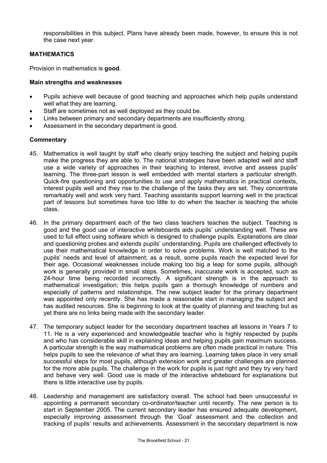responsibilities in this subject. Plans have already been made, however, to ensure this is not the case next year.

## **MATHEMATICS**

Provision in mathematics is **good**.

#### **Main strengths and weaknesses**

- Pupils achieve well because of good teaching and approaches which help pupils understand well what they are learning.
- Staff are sometimes not as well deployed as they could be.
- Links between primary and secondary departments are insufficiently strong.
- Assessment in the secondary department is good.

- 45. Mathematics is well taught by staff who clearly enjoy teaching the subject and helping pupils make the progress they are able to. The national strategies have been adapted well and staff use a wide variety of approaches in their teaching to interest, involve and assess pupils' learning. The three-part lesson is well embedded with mental starters a particular strength. Quick-fire questioning and opportunities to use and apply mathematics in practical contexts, interest pupils well and they rise to the challenge of the tasks they are set. They concentrate remarkably well and work very hard. Teaching assistants support learning well in the practical part of lessons but sometimes have too little to do when the teacher is teaching the whole class.
- 46. In the primary department each of the two class teachers teaches the subject. Teaching is good and the good use of interactive whiteboards aids pupils' understanding well. These are used to full effect using software which is designed to challenge pupils. Explanations are clear and questioning probes and extends pupils' understanding. Pupils are challenged effectively to use their mathematical knowledge in order to solve problems. Work is well matched to the pupils' needs and level of attainment; as a result, some pupils reach the expected level for their age. Occasional weaknesses include making too big a leap for some pupils, although work is generally provided in small steps. Sometimes, inaccurate work is accepted, such as 24-hour time being recorded incorrectly. A significant strength is in the approach to mathematical investigation; this helps pupils gain a thorough knowledge of numbers and especially of patterns and relationships. The new subject leader for the primary department was appointed only recently. She has made a reasonable start in managing the subject and has audited resources. She is beginning to look at the quality of planning and teaching but as yet there are no links being made with the secondary leader.
- 47. The temporary subject leader for the secondary department teaches all lessons in Years 7 to 11. He is a very experienced and knowledgeable teacher who is highly respected by pupils and who has considerable skill in explaining ideas and helping pupils gain maximum success. A particular strength is the way mathematical problems are often made practical in nature. This helps pupils to see the relevance of what they are learning. Learning takes place in very small successful steps for most pupils, although extension work and greater challenges are planned for the more able pupils. The challenge in the work for pupils is just right and they try very hard and behave very well. Good use is made of the interactive whiteboard for explanations but there is little interactive use by pupils.
- 48. Leadership and management are satisfactory overall. The school had been unsuccessful in appointing a permanent secondary co-ordinator/teacher until recently. The new person is to start in September 2005. The current secondary leader has ensured adequate development, especially improving assessment through the 'Goal' assessment and the collection and tracking of pupils' results and achievements. Assessment in the secondary department is now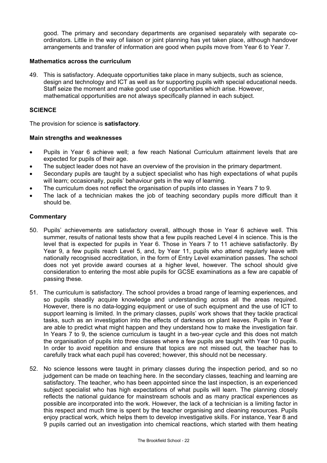good. The primary and secondary departments are organised separately with separate coordinators. Little in the way of liaison or joint planning has yet taken place, although handover arrangements and transfer of information are good when pupils move from Year 6 to Year 7.

#### **Mathematics across the curriculum**

49. This is satisfactory. Adequate opportunities take place in many subjects, such as science, design and technology and ICT as well as for supporting pupils with special educational needs. Staff seize the moment and make good use of opportunities which arise. However, mathematical opportunities are not always specifically planned in each subject.

#### **SCIENCE**

The provision for science is **satisfactory**.

#### **Main strengths and weaknesses**

- Pupils in Year 6 achieve well; a few reach National Curriculum attainment levels that are expected for pupils of their age.
- The subject leader does not have an overview of the provision in the primary department.
- Secondary pupils are taught by a subject specialist who has high expectations of what pupils will learn; occasionally, pupils' behaviour gets in the way of learning.
- The curriculum does not reflect the organisation of pupils into classes in Years 7 to 9.
- The lack of a technician makes the job of teaching secondary pupils more difficult than it should be.

- 50. Pupils' achievements are satisfactory overall, although those in Year 6 achieve well. This summer, results of national tests show that a few pupils reached Level 4 in science. This is the level that is expected for pupils in Year 6. Those in Years 7 to 11 achieve satisfactorily. By Year 9, a few pupils reach Level 5, and, by Year 11, pupils who attend regularly leave with nationally recognised accreditation, in the form of Entry Level examination passes. The school does not yet provide award courses at a higher level, however. The school should give consideration to entering the most able pupils for GCSE examinations as a few are capable of passing these.
- 51. The curriculum is satisfactory. The school provides a broad range of learning experiences, and so pupils steadily acquire knowledge and understanding across all the areas required. However, there is no data-logging equipment or use of such equipment and the use of ICT to support learning is limited. In the primary classes, pupils' work shows that they tackle practical tasks, such as an investigation into the effects of darkness on plant leaves. Pupils in Year 6 are able to predict what might happen and they understand how to make the investigation fair. In Years 7 to 9, the science curriculum is taught in a two-year cycle and this does not match the organisation of pupils into three classes where a few pupils are taught with Year 10 pupils. In order to avoid repetition and ensure that topics are not missed out, the teacher has to carefully track what each pupil has covered; however, this should not be necessary.
- 52. No science lessons were taught in primary classes during the inspection period, and so no judgement can be made on teaching here. In the secondary classes, teaching and learning are satisfactory. The teacher, who has been appointed since the last inspection, is an experienced subject specialist who has high expectations of what pupils will learn. The planning closely reflects the national guidance for mainstream schools and as many practical experiences as possible are incorporated into the work. However, the lack of a technician is a limiting factor in this respect and much time is spent by the teacher organising and cleaning resources. Pupils enjoy practical work, which helps them to develop investigative skills. For instance, Year 8 and 9 pupils carried out an investigation into chemical reactions, which started with them heating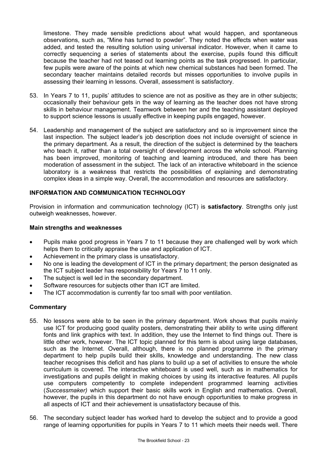limestone. They made sensible predictions about what would happen, and spontaneous observations, such as, "Mine has turned to powder". They noted the effects when water was added, and tested the resulting solution using universal indicator. However, when it came to correctly sequencing a series of statements about the exercise, pupils found this difficult because the teacher had not teased out learning points as the task progressed. In particular, few pupils were aware of the points at which new chemical substances had been formed. The secondary teacher maintains detailed records but misses opportunities to involve pupils in assessing their learning in lessons. Overall, assessment is satisfactory.

- 53. In Years 7 to 11, pupils' attitudes to science are not as positive as they are in other subjects; occasionally their behaviour gets in the way of learning as the teacher does not have strong skills in behaviour management. Teamwork between her and the teaching assistant deployed to support science lessons is usually effective in keeping pupils engaged, however.
- 54. Leadership and management of the subject are satisfactory and so is improvement since the last inspection. The subject leader's job description does not include oversight of science in the primary department. As a result, the direction of the subject is determined by the teachers who teach it, rather than a total oversight of development across the whole school. Planning has been improved, monitoring of teaching and learning introduced, and there has been moderation of assessment in the subject. The lack of an interactive whiteboard in the science laboratory is a weakness that restricts the possibilities of explaining and demonstrating complex ideas in a simple way. Overall, the accommodation and resources are satisfactory.

## **INFORMATION AND COMMUNICATION TECHNOLOGY**

Provision in information and communication technology (ICT) is **satisfactory**. Strengths only just outweigh weaknesses, however.

#### **Main strengths and weaknesses**

- Pupils make good progress in Years 7 to 11 because they are challenged well by work which helps them to critically appraise the use and application of ICT.
- Achievement in the primary class is unsatisfactory.
- No one is leading the development of ICT in the primary department; the person designated as the ICT subject leader has responsibility for Years 7 to 11 only.
- The subject is well led in the secondary department.
- Software resources for subjects other than ICT are limited.
- The ICT accommodation is currently far too small with poor ventilation.

- 55. No lessons were able to be seen in the primary department. Work shows that pupils mainly use ICT for producing good quality posters, demonstrating their ability to write using different fonts and link graphics with text. In addition, they use the Internet to find things out. There is little other work, however. The ICT topic planned for this term is about using large databases, such as the Internet. Overall, although, there is no planned programme in the primary department to help pupils build their skills, knowledge and understanding. The new class teacher recognises this deficit and has plans to build up a set of activities to ensure the whole curriculum is covered. The interactive whiteboard is used well, such as in mathematics for investigations and pupils delight in making choices by using its interactive features. All pupils use computers competently to complete independent programmed learning activities (*Successmaker)* which support their basic skills work in English and mathematics. Overall, however, the pupils in this department do not have enough opportunities to make progress in all aspects of ICT and their achievement is unsatisfactory because of this.
- 56. The secondary subject leader has worked hard to develop the subject and to provide a good range of learning opportunities for pupils in Years 7 to 11 which meets their needs well. There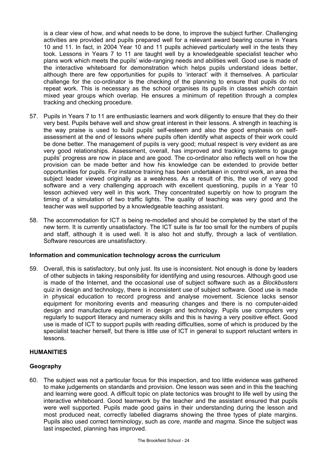is a clear view of how, and what needs to be done, to improve the subject further. Challenging activities are provided and pupils prepared well for a relevant award bearing course in Years 10 and 11. In fact, in 2004 Year 10 and 11 pupils achieved particularly well in the tests they took. Lessons in Years 7 to 11 are taught well by a knowledgeable specialist teacher who plans work which meets the pupils' wide-ranging needs and abilities well. Good use is made of the interactive whiteboard for demonstration which helps pupils understand ideas better, although there are few opportunities for pupils to 'interact' with it themselves. A particular challenge for the co-ordinator is the checking of the planning to ensure that pupils do not repeat work. This is necessary as the school organises its pupils in classes which contain mixed year groups which overlap. He ensures a minimum of repetition through a complex tracking and checking procedure.

- 57. Pupils in Years 7 to 11 are enthusiastic learners and work diligently to ensure that they do their very best. Pupils behave well and show great interest in their lessons. A strength in teaching is the way praise is used to build pupils' self-esteem and also the good emphasis on selfassessment at the end of lessons where pupils often identify what aspects of their work could be done better. The management of pupils is very good; mutual respect is very evident as are very good relationships. Assessment, overall, has improved and tracking systems to gauge pupils' progress are now in place and are good. The co-ordinator also reflects well on how the provision can be made better and how his knowledge can be extended to provide better opportunities for pupils. For instance training has been undertaken in control work, an area the subject leader viewed originally as a weakness. As a result of this, the use of very good software and a very challenging approach with excellent questioning, pupils in a Year 10 lesson achieved very well in this work. They concentrated superbly on how to program the timing of a simulation of two traffic lights. The quality of teaching was very good and the teacher was well supported by a knowledgeable teaching assistant.
- 58. The accommodation for ICT is being re-modelled and should be completed by the start of the new term. It is currently unsatisfactory. The ICT suite is far too small for the numbers of pupils and staff, although it is used well. It is also hot and stuffy, through a lack of ventilation. Software resources are unsatisfactory.

## **Information and communication technology across the curriculum**

59. Overall, this is satisfactory, but only just. Its use is inconsistent. Not enough is done by leaders of other subjects in taking responsibility for identifying and using resources. Although good use is made of the Internet, and the occasional use of subject software such as a *Blockbusters*  quiz in design and technology, there is inconsistent use of subject software. Good use is made in physical education to record progress and analyse movement. Science lacks sensor equipment for monitoring events and measuring changes and there is no computer-aided design and manufacture equipment in design and technology. Pupils use computers very regularly to support literacy and numeracy skills and this is having a very positive effect. Good use is made of ICT to support pupils with reading difficulties, some of which is produced by the specialist teacher herself, but there is little use of ICT in general to support reluctant writers in lessons.

## **HUMANITIES**

## **Geography**

60. The subject was not a particular focus for this inspection, and too little evidence was gathered to make judgements on standards and provision. One lesson was seen and in this the teaching and learning were good. A difficult topic on plate tectonics was brought to life well by using the interactive whiteboard. Good teamwork by the teacher and the assistant ensured that pupils were well supported. Pupils made good gains in their understanding during the lesson and most produced neat, correctly labelled diagrams showing the three types of plate margins. Pupils also used correct terminology, such as *core*, *mantle* and *magma*. Since the subject was last inspected, planning has improved.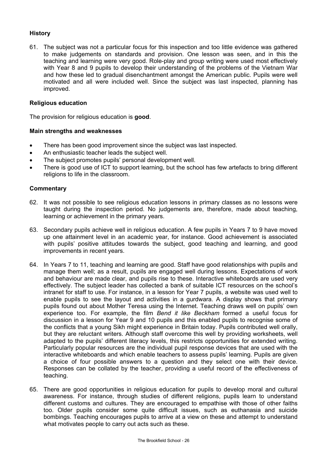## **History**

61. The subject was not a particular focus for this inspection and too little evidence was gathered to make judgements on standards and provision. One lesson was seen, and in this the teaching and learning were very good. Role-play and group writing were used most effectively with Year 8 and 9 pupils to develop their understanding of the problems of the Vietnam War and how these led to gradual disenchantment amongst the American public. Pupils were well motivated and all were included well. Since the subject was last inspected, planning has improved.

#### **Religious education**

The provision for religious education is **good**.

#### **Main strengths and weaknesses**

- There has been good improvement since the subject was last inspected.
- An enthusiastic teacher leads the subject well.
- The subject promotes pupils' personal development well.
- There is good use of ICT to support learning, but the school has few artefacts to bring different religions to life in the classroom.

- 62. It was not possible to see religious education lessons in primary classes as no lessons were taught during the inspection period. No judgements are, therefore, made about teaching, learning or achievement in the primary years.
- 63. Secondary pupils achieve well in religious education. A few pupils in Years 7 to 9 have moved up one attainment level in an academic year, for instance. Good achievement is associated with pupils' positive attitudes towards the subject, good teaching and learning, and good improvements in recent years.
- 64. In Years 7 to 11, teaching and learning are good. Staff have good relationships with pupils and manage them well; as a result, pupils are engaged well during lessons. Expectations of work and behaviour are made clear, and pupils rise to these. Interactive whiteboards are used very effectively. The subject leader has collected a bank of suitable ICT resources on the school's intranet for staff to use. For instance, in a lesson for Year 7 pupils, a website was used well to enable pupils to see the layout and activities in a gurdwara. A display shows that primary pupils found out about Mother Teresa using the Internet. Teaching draws well on pupils' own experience too. For example, the film *Bend it like Beckham* formed a useful focus for discussion in a lesson for Year 9 and 10 pupils and this enabled pupils to recognise some of the conflicts that a young Sikh might experience in Britain today. Pupils contributed well orally, but they are reluctant writers. Although staff overcome this well by providing worksheets, well adapted to the pupils' different literacy levels, this restricts opportunities for extended writing. Particularly popular resources are the individual pupil response devices that are used with the interactive whiteboards and which enable teachers to assess pupils' learning. Pupils are given a choice of four possible answers to a question and they select one with their device. Responses can be collated by the teacher, providing a useful record of the effectiveness of teaching.
- 65. There are good opportunities in religious education for pupils to develop moral and cultural awareness. For instance, through studies of different religions, pupils learn to understand different customs and cultures. They are encouraged to empathise with those of other faiths too. Older pupils consider some quite difficult issues, such as euthanasia and suicide bombings. Teaching encourages pupils to arrive at a view on these and attempt to understand what motivates people to carry out acts such as these.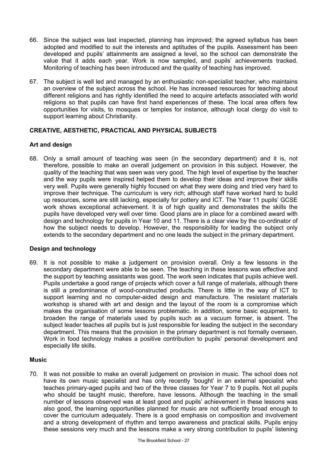- 66. Since the subject was last inspected, planning has improved; the agreed syllabus has been adopted and modified to suit the interests and aptitudes of the pupils. Assessment has been developed and pupils' attainments are assigned a level, so the school can demonstrate the value that it adds each year. Work is now sampled, and pupils' achievements tracked. Monitoring of teaching has been introduced and the quality of teaching has improved.
- 67. The subject is well led and managed by an enthusiastic non-specialist teacher, who maintains an overview of the subject across the school. He has increased resources for teaching about different religions and has rightly identified the need to acquire artefacts associated with world religions so that pupils can have first hand experiences of these. The local area offers few opportunities for visits, to mosques or temples for instance, although local clergy do visit to support learning about Christianity.

## **CREATIVE, AESTHETIC, PRACTICAL AND PHYSICAL SUBJECTS**

## **Art and design**

68. Only a small amount of teaching was seen (in the secondary department) and it is, not therefore, possible to make an overall judgement on provision in this subject. However, the quality of the teaching that was seen was very good. The high level of expertise by the teacher and the way pupils were inspired helped them to develop their ideas and improve their skills very well. Pupils were generally highly focused on what they were doing and tried very hard to improve their technique. The curriculum is very rich; although staff have worked hard to build up resources, some are still lacking, especially for pottery and ICT. The Year 11 pupils' GCSE work shows exceptional achievement. It is of high quality and demonstrates the skills the pupils have developed very well over time. Good plans are in place for a combined award with design and technology for pupils in Year 10 and 11. There is a clear view by the co-ordinator of how the subject needs to develop. However, the responsibility for leading the subject only extends to the secondary department and no one leads the subject in the primary department.

## **Design and technology**

69. It is not possible to make a judgement on provision overall. Only a few lessons in the secondary department were able to be seen. The teaching in these lessons was effective and the support by teaching assistants was good. The work seen indicates that pupils achieve well. Pupils undertake a good range of projects which cover a full range of materials, although there is still a predominance of wood-constructed products. There is little in the way of ICT to support learning and no computer-aided design and manufacture. The resistant materials workshop is shared with art and design and the layout of the room is a compromise which makes the organisation of some lessons problematic. In addition, some basic equipment, to broaden the range of materials used by pupils such as a vacuum former, is absent. The subject leader teaches all pupils but is just responsible for leading the subject in the secondary department. This means that the provision in the primary department is not formally overseen. Work in food technology makes a positive contribution to pupils' personal development and especially life skills.

## **Music**

70. It was not possible to make an overall judgement on provision in music. The school does not have its own music specialist and has only recently 'bought' in an external specialist who teaches primary-aged pupils and two of the three classes for Year 7 to 9 pupils. Not all pupils who should be taught music, therefore, have lessons. Although the teaching in the small number of lessons observed was at least good and pupils' achievement in these lessons was also good, the learning opportunities planned for music are not sufficiently broad enough to cover the curriculum adequately. There is a good emphasis on composition and involvement and a strong development of rhythm and tempo awareness and practical skills. Pupils enjoy these sessions very much and the lessons make a very strong contribution to pupils' listening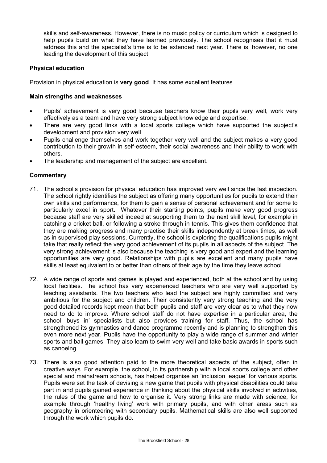skills and self-awareness. However, there is no music policy or curriculum which is designed to help pupils build on what they have learned previously. The school recognises that it must address this and the specialist's time is to be extended next year. There is, however, no one leading the development of this subject.

## **Physical education**

Provision in physical education is **very good**. It has some excellent features

#### **Main strengths and weaknesses**

- Pupils' achievement is very good because teachers know their pupils very well, work very effectively as a team and have very strong subject knowledge and expertise.
- There are very good links with a local sports college which have supported the subject's development and provision very well.
- Pupils challenge themselves and work together very well and the subject makes a very good contribution to their growth in self-esteem, their social awareness and their ability to work with others.
- The leadership and management of the subject are excellent.

- 71. The school's provision for physical education has improved very well since the last inspection. The school rightly identifies the subject as offering many opportunities for pupils to extend their own skills and performance, for them to gain a sense of personal achievement and for some to particularly excel in sport. Whatever their starting points, pupils make very good progress because staff are very skilled indeed at supporting them to the next skill level, for example in catching a cricket ball, or following a stroke through in tennis. This gives them confidence that they are making progress and many practise their skills independently at break times, as well as in supervised play sessions. Currently, the school is exploring the qualifications pupils might take that really reflect the very good achievement of its pupils in all aspects of the subject. The very strong achievement is also because the teaching is very good and expert and the learning opportunities are very good. Relationships with pupils are excellent and many pupils have skills at least equivalent to or better than others of their age by the time they leave school.
- 72. A wide range of sports and games is played and experienced, both at the school and by using local facilities. The school has very experienced teachers who are very well supported by teaching assistants. The two teachers who lead the subject are highly committed and very ambitious for the subject and children. Their consistently very strong teaching and the very good detailed records kept mean that both pupils and staff are very clear as to what they now need to do to improve. Where school staff do not have expertise in a particular area, the school 'buys in' specialists but also provides training for staff. Thus, the school has strengthened its gymnastics and dance programme recently and is planning to strengthen this even more next year. Pupils have the opportunity to play a wide range of summer and winter sports and ball games. They also learn to swim very well and take basic awards in sports such as canoeing.
- 73. There is also good attention paid to the more theoretical aspects of the subject, often in creative ways. For example, the school, in its partnership with a local sports college and other special and mainstream schools, has helped organise an 'inclusion league' for various sports. Pupils were set the task of devising a new game that pupils with physical disabilities could take part in and pupils gained experience in thinking about the physical skills involved in activities, the rules of the game and how to organise it. Very strong links are made with science, for example through 'healthy living' work with primary pupils, and with other areas such as geography in orienteering with secondary pupils. Mathematical skills are also well supported through the work which pupils do.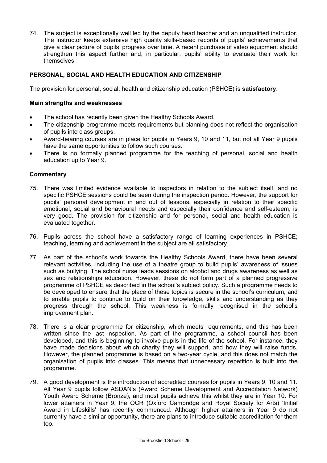74. The subject is exceptionally well led by the deputy head teacher and an unqualified instructor. The instructor keeps extensive high quality skills-based records of pupils' achievements that give a clear picture of pupils' progress over time. A recent purchase of video equipment should strengthen this aspect further and, in particular, pupils' ability to evaluate their work for themselves.

## **PERSONAL, SOCIAL AND HEALTH EDUCATION AND CITIZENSHIP**

The provision for personal, social, health and citizenship education (PSHCE) is **satisfactory**.

#### **Main strengths and weaknesses**

- The school has recently been given the Healthy Schools Award.
- The citizenship programme meets requirements but planning does not reflect the organisation of pupils into class groups.
- Award-bearing courses are in place for pupils in Years 9, 10 and 11, but not all Year 9 pupils have the same opportunities to follow such courses.
- There is no formally planned programme for the teaching of personal, social and health education up to Year 9.

- 75. There was limited evidence available to inspectors in relation to the subject itself, and no specific PSHCE sessions could be seen during the inspection period. However, the support for pupils' personal development in and out of lessons, especially in relation to their specific emotional, social and behavioural needs and especially their confidence and self-esteem, is very good. The provision for citizenship and for personal, social and health education is evaluated together.
- 76. Pupils across the school have a satisfactory range of learning experiences in PSHCE; teaching, learning and achievement in the subject are all satisfactory.
- 77. As part of the school's work towards the Healthy Schools Award, there have been several relevant activities, including the use of a theatre group to build pupils' awareness of issues such as bullying. The school nurse leads sessions on alcohol and drugs awareness as well as sex and relationships education. However, these do not form part of a planned progressive programme of PSHCE as described in the school's subject policy. Such a programme needs to be developed to ensure that the place of these topics is secure in the school's curriculum, and to enable pupils to continue to build on their knowledge, skills and understanding as they progress through the school. This weakness is formally recognised in the school's improvement plan.
- 78. There is a clear programme for citizenship, which meets requirements, and this has been written since the last inspection. As part of the programme, a school council has been developed, and this is beginning to involve pupils in the life of the school. For instance, they have made decisions about which charity they will support, and how they will raise funds. However, the planned programme is based on a two-year cycle, and this does not match the organisation of pupils into classes. This means that unnecessary repetition is built into the programme.
- 79. A good development is the introduction of accredited courses for pupils in Years 9, 10 and 11. All Year 9 pupils follow ASDAN's (Award Scheme Development and Accreditation Network) Youth Award Scheme (Bronze), and most pupils achieve this whilst they are in Year 10. For lower attainers in Year 9, the OCR (Oxford Cambridge and Royal Society for Arts) 'Initial Award in Lifeskills' has recently commenced. Although higher attainers in Year 9 do not currently have a similar opportunity, there are plans to introduce suitable accreditation for them too.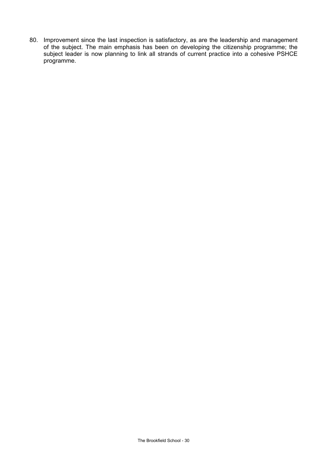80. Improvement since the last inspection is satisfactory, as are the leadership and management of the subject. The main emphasis has been on developing the citizenship programme; the subject leader is now planning to link all strands of current practice into a cohesive PSHCE programme.